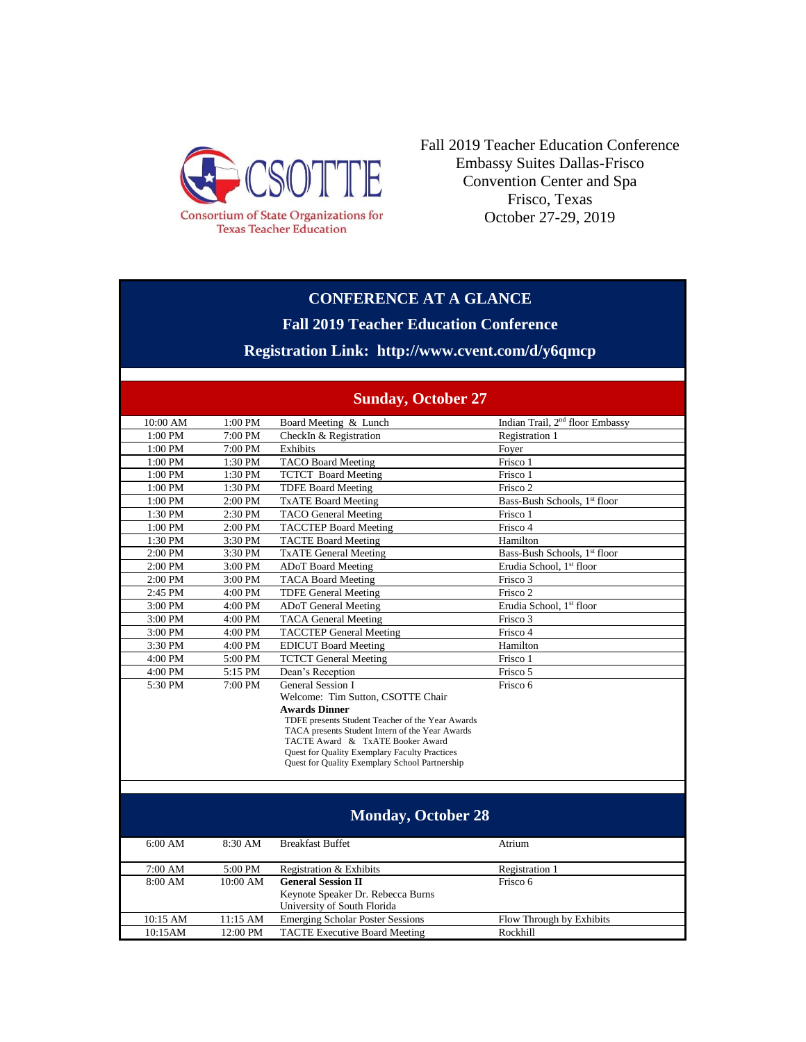

Fall 2019 Teacher Education Conference Embassy Suites Dallas-Frisco Convention Center and Spa Frisco, Texas October 27-29, 2019

### **CONFERENCE AT A GLANCE**

**Fall 2019 Teacher Education Conference**

## **Registration Link: http://www.cvent.com/d/y6qmcp**

| <b>Sunday, October 27</b> |         |                                                                                     |                                             |
|---------------------------|---------|-------------------------------------------------------------------------------------|---------------------------------------------|
| 10:00 AM                  | 1:00 PM | Board Meeting & Lunch                                                               | Indian Trail, 2 <sup>nd</sup> floor Embassy |
| 1:00 PM                   | 7:00 PM | CheckIn & Registration                                                              | Registration 1                              |
| 1:00 PM                   | 7:00 PM | Exhibits                                                                            | Foyer                                       |
| 1:00 PM                   | 1:30 PM | <b>TACO Board Meeting</b>                                                           | Frisco 1                                    |
| 1:00 PM                   | 1:30 PM | <b>TCTCT</b> Board Meeting                                                          | Frisco 1                                    |
| 1:00 PM                   | 1:30 PM | <b>TDFE Board Meeting</b>                                                           | Frisco 2                                    |
| 1:00 PM                   | 2:00 PM | <b>TxATE Board Meeting</b>                                                          | Bass-Bush Schools, 1st floor                |
| 1:30 PM                   | 2:30 PM | <b>TACO</b> General Meeting                                                         | Frisco 1                                    |
| 1:00 PM                   | 2:00 PM | <b>TACCTEP Board Meeting</b>                                                        | Frisco 4                                    |
| 1:30 PM                   | 3:30 PM | <b>TACTE Board Meeting</b>                                                          | Hamilton                                    |
| 2:00 PM                   | 3:30 PM | <b>TxATE General Meeting</b>                                                        | Bass-Bush Schools, 1 <sup>st</sup> floor    |
| 2:00 PM                   | 3:00 PM | <b>ADoT</b> Board Meeting                                                           | Erudia School, 1 <sup>st</sup> floor        |
| 2:00 PM                   | 3:00 PM | <b>TACA Board Meeting</b>                                                           | Frisco 3                                    |
| 2:45 PM                   | 4:00 PM | <b>TDFE General Meeting</b>                                                         | Frisco 2                                    |
| 3:00 PM                   | 4:00 PM | <b>ADoT</b> General Meeting                                                         | Erudia School, 1st floor                    |
| 3:00 PM                   | 4:00 PM | <b>TACA General Meeting</b>                                                         | Frisco 3                                    |
| 3:00 PM                   | 4:00 PM | <b>TACCTEP General Meeting</b>                                                      | Frisco 4                                    |
| 3:30 PM                   | 4:00 PM | <b>EDICUT Board Meeting</b>                                                         | Hamilton                                    |
| 4:00 PM                   | 5:00 PM | <b>TCTCT</b> General Meeting                                                        | Frisco 1                                    |
| 4:00 PM                   | 5:15 PM | Dean's Reception                                                                    | Frisco 5                                    |
| 5:30 PM                   | 7:00 PM | General Session I                                                                   | Frisco 6                                    |
|                           |         | Welcome: Tim Sutton, CSOTTE Chair                                                   |                                             |
|                           |         | <b>Awards Dinner</b>                                                                |                                             |
|                           |         | TDFE presents Student Teacher of the Year Awards                                    |                                             |
|                           |         | TACA presents Student Intern of the Year Awards<br>TACTE Award & TxATE Booker Award |                                             |
|                           |         | Quest for Quality Exemplary Faculty Practices                                       |                                             |
|                           |         | Quest for Quality Exemplary School Partnership                                      |                                             |
|                           |         |                                                                                     |                                             |
|                           |         |                                                                                     |                                             |
|                           |         |                                                                                     |                                             |
| <b>Monday, October 28</b> |         |                                                                                     |                                             |
| 6:00 AM                   | 8:30 AM | <b>Breakfast Buffet</b>                                                             | Atrium                                      |
|                           |         |                                                                                     |                                             |

#### **Sunday, October 27**

| 6:00 AM    | $8:30$ AM  | <b>Breakfast Buffet</b>                 | Atrium                   |
|------------|------------|-----------------------------------------|--------------------------|
| 7:00 AM    | 5:00 PM    | Registration & Exhibits                 | Registration 1           |
| 8:00 AM    | 10:00 AM   | <b>General Session II</b>               | Frisco 6                 |
|            |            | Keynote Speaker Dr. Rebecca Burns       |                          |
|            |            | University of South Florida             |                          |
| $10:15$ AM | $11:15$ AM | <b>Emerging Scholar Poster Sessions</b> | Flow Through by Exhibits |
| 10:15AM    | 12:00 PM   | <b>TACTE Executive Board Meeting</b>    | Rockhill                 |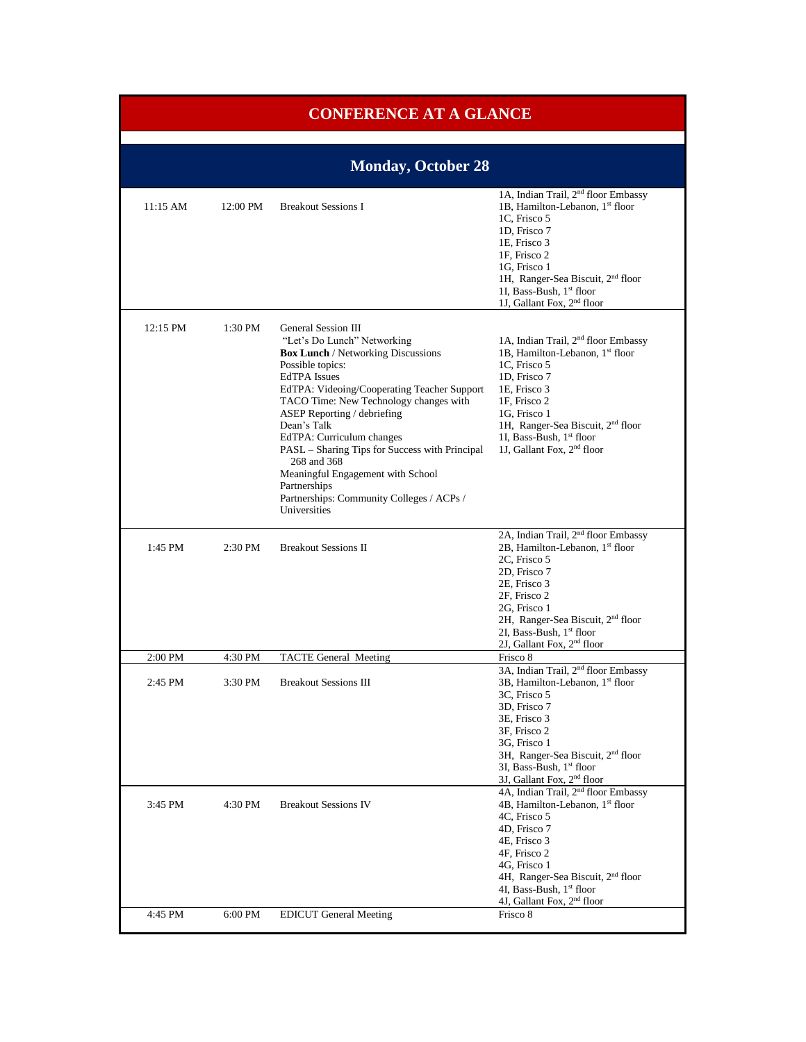| <b>CONFERENCE AT A GLANCE</b> |          |                                                                                                                                                                                                                                                                                                                                                                                                                                                                                                   |                                                                                                                                                                                                                                                                                                       |
|-------------------------------|----------|---------------------------------------------------------------------------------------------------------------------------------------------------------------------------------------------------------------------------------------------------------------------------------------------------------------------------------------------------------------------------------------------------------------------------------------------------------------------------------------------------|-------------------------------------------------------------------------------------------------------------------------------------------------------------------------------------------------------------------------------------------------------------------------------------------------------|
|                               |          |                                                                                                                                                                                                                                                                                                                                                                                                                                                                                                   |                                                                                                                                                                                                                                                                                                       |
|                               |          | <b>Monday, October 28</b>                                                                                                                                                                                                                                                                                                                                                                                                                                                                         |                                                                                                                                                                                                                                                                                                       |
| $11:15$ AM                    | 12:00 PM | <b>Breakout Sessions I</b>                                                                                                                                                                                                                                                                                                                                                                                                                                                                        | 1A, Indian Trail, 2 <sup>nd</sup> floor Embassy<br>1B, Hamilton-Lebanon, 1st floor<br>1C, Frisco 5<br>1D, Frisco 7<br>1E, Frisco 3<br>1F, Frisco 2<br>1G. Frisco 1<br>1H, Ranger-Sea Biscuit, 2 <sup>nd</sup> floor<br>1I, Bass-Bush, 1st floor<br>1J, Gallant Fox, 2 <sup>nd</sup> floor             |
| 12:15 PM                      | 1:30 PM  | General Session III<br>"Let's Do Lunch" Networking<br><b>Box Lunch / Networking Discussions</b><br>Possible topics:<br><b>EdTPA</b> Issues<br>EdTPA: Videoing/Cooperating Teacher Support<br>TACO Time: New Technology changes with<br>ASEP Reporting / debriefing<br>Dean's Talk<br>EdTPA: Curriculum changes<br>PASL - Sharing Tips for Success with Principal<br>268 and 368<br>Meaningful Engagement with School<br>Partnerships<br>Partnerships: Community Colleges / ACPs /<br>Universities | 1A, Indian Trail, 2 <sup>nd</sup> floor Embassy<br>1B, Hamilton-Lebanon, 1st floor<br>1C, Frisco 5<br>1D, Frisco 7<br>1E, Frisco 3<br>1F, Frisco 2<br>1G, Frisco 1<br>1H, Ranger-Sea Biscuit, 2 <sup>nd</sup> floor<br>1I, Bass-Bush, 1st floor<br>1J, Gallant Fox, 2 <sup>nd</sup> floor             |
| 1:45 PM                       | 2:30 PM  | <b>Breakout Sessions II</b>                                                                                                                                                                                                                                                                                                                                                                                                                                                                       | 2A, Indian Trail, 2 <sup>nd</sup> floor Embassy<br>2B, Hamilton-Lebanon, 1st floor<br>2C, Frisco 5<br>2D, Frisco 7<br>2E, Frisco 3<br>2F, Frisco 2<br>2G, Frisco 1<br>2H, Ranger-Sea Biscuit, 2 <sup>nd</sup> floor<br>2I, Bass-Bush, 1st floor<br>2J, Gallant Fox, 2 <sup>nd</sup> floor             |
| 2:00 PM                       | 4:30 PM  | <b>TACTE General Meeting</b>                                                                                                                                                                                                                                                                                                                                                                                                                                                                      | Frisco 8                                                                                                                                                                                                                                                                                              |
| 2:45 PM                       | 3:30 PM  | <b>Breakout Sessions III</b>                                                                                                                                                                                                                                                                                                                                                                                                                                                                      | 3A, Indian Trail, 2 <sup>nd</sup> floor Embassy<br>3B, Hamilton-Lebanon, 1st floor<br>3C, Frisco 5<br>3D, Frisco 7<br>3E, Frisco 3<br>3F, Frisco 2<br>3G, Frisco 1<br>3H, Ranger-Sea Biscuit, 2 <sup>nd</sup> floor<br>3I, Bass-Bush, 1st floor<br>3J, Gallant Fox, 2 <sup>nd</sup> floor             |
| 3:45 PM                       | 4:30 PM  | <b>Breakout Sessions IV</b>                                                                                                                                                                                                                                                                                                                                                                                                                                                                       | 4A, Indian Trail, 2 <sup>nd</sup> floor Embassy<br>4B, Hamilton-Lebanon, 1st floor<br>4C, Frisco 5<br>4D, Frisco 7<br>4E, Frisco 3<br>4F, Frisco 2<br>4G, Frisco 1<br>4H, Ranger-Sea Biscuit, 2 <sup>nd</sup> floor<br>4I, Bass-Bush, 1st floor<br>4J, Gallant Fox, 2 <sup>nd</sup> floor<br>Frisco 8 |
| 4:45 PM                       | 6:00 PM  | <b>EDICUT General Meeting</b>                                                                                                                                                                                                                                                                                                                                                                                                                                                                     |                                                                                                                                                                                                                                                                                                       |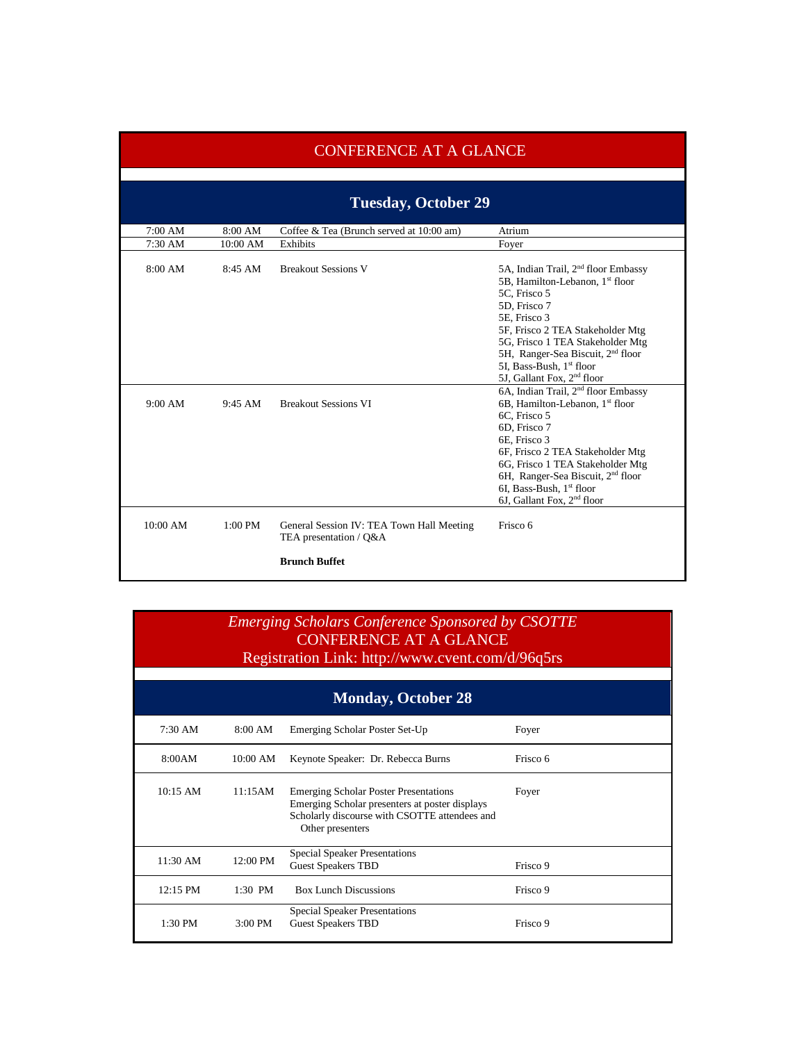|            | <b>CONFERENCE AT A GLANCE</b> |                                                                                             |                                                                                                                                                                                                                                                                                                                                               |  |
|------------|-------------------------------|---------------------------------------------------------------------------------------------|-----------------------------------------------------------------------------------------------------------------------------------------------------------------------------------------------------------------------------------------------------------------------------------------------------------------------------------------------|--|
|            |                               |                                                                                             |                                                                                                                                                                                                                                                                                                                                               |  |
|            | <b>Tuesday, October 29</b>    |                                                                                             |                                                                                                                                                                                                                                                                                                                                               |  |
| 7:00 AM    | 8:00 AM                       | Coffee & Tea (Brunch served at 10:00 am)                                                    | Atrium                                                                                                                                                                                                                                                                                                                                        |  |
| 7:30 AM    | 10:00 AM                      | Exhibits                                                                                    | Fover                                                                                                                                                                                                                                                                                                                                         |  |
| 8:00 AM    | 8:45AM                        | <b>Breakout Sessions V</b>                                                                  | 5A, Indian Trail, 2 <sup>nd</sup> floor Embassy<br>5B, Hamilton-Lebanon, 1 <sup>st</sup> floor<br>5C, Frisco 5<br>5D, Frisco 7<br>5E, Frisco 3<br>5F, Frisco 2 TEA Stakeholder Mtg<br>5G, Frisco 1 TEA Stakeholder Mtg<br>5H, Ranger-Sea Biscuit, 2 <sup>nd</sup> floor<br>5I, Bass-Bush, 1st floor<br>5J, Gallant Fox, 2 <sup>nd</sup> floor |  |
| 9:00 AM    | 9:45 AM                       | <b>Breakout Sessions VI</b>                                                                 | 6A, Indian Trail, 2 <sup>nd</sup> floor Embassy<br>6B, Hamilton-Lebanon, 1 <sup>st</sup> floor<br>6C, Frisco 5<br>6D, Frisco 7<br>6E, Frisco 3<br>6F, Frisco 2 TEA Stakeholder Mtg<br>6G, Frisco 1 TEA Stakeholder Mtg<br>6H, Ranger-Sea Biscuit, 2 <sup>nd</sup> floor<br>6I, Bass-Bush, 1st floor<br>6J, Gallant Fox, 2 <sup>nd</sup> floor |  |
| $10:00$ AM | 1:00 PM                       | General Session IV: TEA Town Hall Meeting<br>TEA presentation / Q&A<br><b>Brunch Buffet</b> | Frisco 6                                                                                                                                                                                                                                                                                                                                      |  |

| <b>Emerging Scholars Conference Sponsored by CSOTTE</b> |
|---------------------------------------------------------|
| CONFERENCE AT A GLANCE.                                 |
| Registration Link: http://www.cvent.com/d/96q5rs        |

| <b>Monday, October 28</b> |                   |                                                                                                                                                                     |          |
|---------------------------|-------------------|---------------------------------------------------------------------------------------------------------------------------------------------------------------------|----------|
| $7:30 \text{ AM}$         | 8:00 AM           | Emerging Scholar Poster Set-Up                                                                                                                                      | Foyer    |
| 8:00AM                    | $10:00$ AM        | Keynote Speaker: Dr. Rebecca Burns                                                                                                                                  | Frisco 6 |
| $10:15$ AM                | 11:15AM           | <b>Emerging Scholar Poster Presentations</b><br>Emerging Scholar presenters at poster displays<br>Scholarly discourse with CSOTTE attendees and<br>Other presenters | Foyer    |
| $11:30$ AM                | 12:00 PM          | <b>Special Speaker Presentations</b><br><b>Guest Speakers TBD</b>                                                                                                   | Frisco 9 |
| 12:15 PM                  | $1:30$ PM         | <b>Box Lunch Discussions</b>                                                                                                                                        | Frisco 9 |
| 1:30 PM                   | $3:00 \text{ PM}$ | <b>Special Speaker Presentations</b><br><b>Guest Speakers TBD</b>                                                                                                   | Frisco 9 |